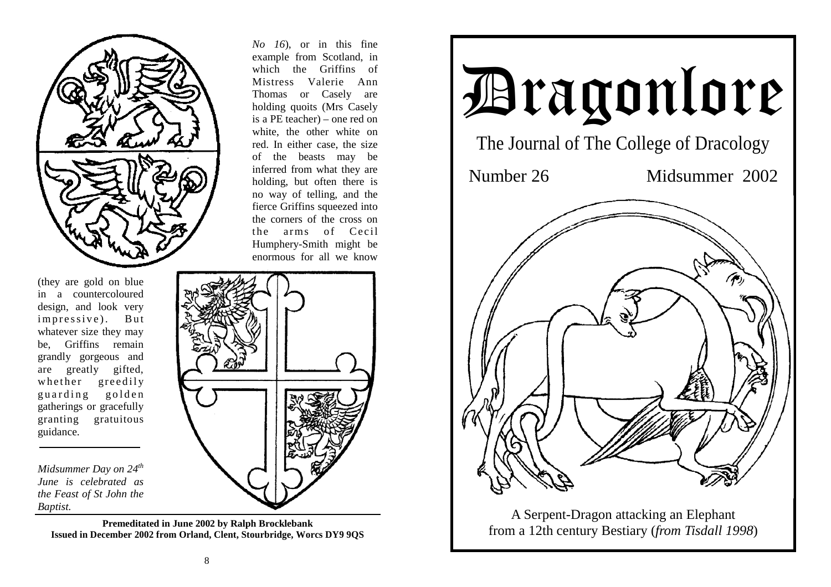

(they are gold on blue in a countercoloured design, and look very impressive). But whatever size they may be, Griffins remain grandly gorgeous and are greatly gifted, whether greedily guarding golden gatherings or gracefully granting gratuitous guidance.

*Midsummer Day on 24th June is celebrated as the Feast of St John the Baptist.*

> **Premeditated in June 2002 by Ralph Brocklebank Issued in December 2002 from Orland, Clent, Stourbridge, Worcs DY9 9QS**

*No 16*), or in this fine example from Scotland, in which the Griffins of Mistress Valerie Ann Thomas or Casely are holding quoits (Mrs Casely is a PE teacher) – one red on white, the other white on red. In either case, the size of the beasts may be inferred from what they are holding, but often there is no way of telling, and the fierce Griffins squeezed into the corners of the cross on the arms of Cecil Humphery-Smith might be enormous for all we know



A Serpent-Dragon attacking an Elephant from a 12th century Bestiary (*from Tisdall 1998*)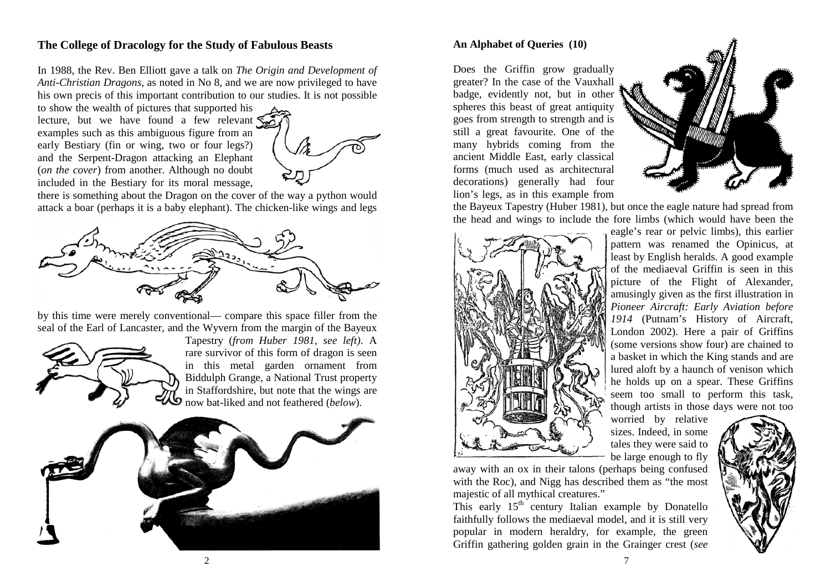# **The College of Dracology for the Study of Fabulous Beasts**

In 1988, the Rev. Ben Elliott gave a talk on *The Origin and Development of Anti-Christian Dragons*, as noted in No 8, and we are now privileged to have his own precis of this important contribution to our studies. It is not possible

to show the wealth of pictures that supported his lecture, but we have found a few relevant examples such as this ambiguous figure from an early Bestiary (fin or wing, two or four legs?) and the Serpent-Dragon attacking an Elephant (*on the cover*) from another. Although no doubt included in the Bestiary for its moral message,



there is something about the Dragon on the cover of the way a python would attack a boar (perhaps it is a baby elephant). The chicken-like wings and legs



by this time were merely conventional— compare this space filler from the seal of the Earl of Lancaster, and the Wyvern from the margin of the Bayeux



Tapestry (*from Huber 1981*, *see left)*. A rare survivor of this form of dragon is seen in this metal garden ornament from Biddulph Grange, a National Trust property in Staffordshire, but note that the wings are now bat-liked and not feathered (*below*).



### **An Alphabet of Queries (10)**

Does the Griffin grow gradually greater? In the case of the Vauxhall badge, evidently not, but in other spheres this beast of great antiquity goes from strength to strength and is still a great favourite. One of the many hybrids coming from the ancient Middle East, early classical forms (much used as architectural decorations) generally had four lion's legs, as in this example from



the Bayeux Tapestry (Huber 1981), but once the eagle nature had spread from the head and wings to include the fore limbs (which would have been the



eagle's rear or pelvic limbs), this earlier pattern was renamed the Opinicus, at least by English heralds. A good example of the mediaeval Griffin is seen in this picture of the Flight of Alexander, amusingly given as the first illustration in *Pioneer Aircraft: Early Aviation before 1914* (Putnam's History of Aircraft, London 2002). Here a pair of Griffins (some versions show four) are chained to a basket in which the King stands and are lured aloft by a haunch of venison which he holds up on a spear. These Griffins seem too small to perform this task, though artists in those days were not too

worried by relative sizes. Indeed, in some tales they were said to be large enough to fly

away with an ox in their talons (perhaps being confused with the Roc), and Nigg has described them as "the most majestic of all mythical creatures."

This early  $15<sup>th</sup>$  century Italian example by Donatello faithfully follows the mediaeval model, and it is still very popular in modern heraldry, for example, the green Griffin gathering golden grain in the Grainger crest (*see* 

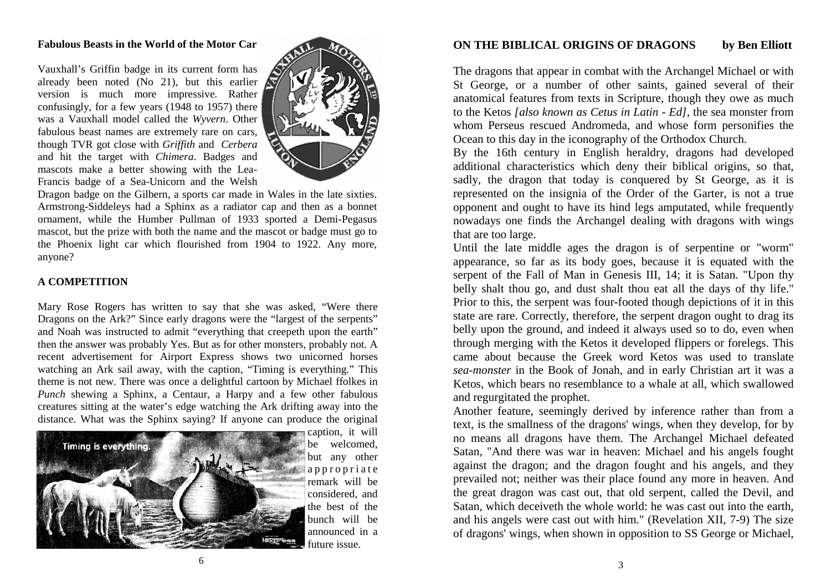#### **Fabulous Beasts in the World of the Motor Car**

Vauxhall's Griffin badge in its current form has already been noted (No 21), but this earlier version is much more impressive. Rather confusingly, for a few years (1948 to 1957) there was a Vauxhall model called the *Wyvern*. Other fabulous beast names are extremely rare on cars, though TVR got close with *Griffith* and *Cerbera* and hit the target with *Chimera*. Badges and mascots make a better showing with the Lea-Francis badge of a Sea-Unicorn and the Welsh



Dragon badge on the Gilbern, a sports car made in Wales in the late sixties. Armstrong-Siddeleys had a Sphinx as a radiator cap and then as a bonnet ornament, while the Humber Pullman of 1933 sported a Demi-Pegasus mascot, but the prize with both the name and the mascot or badge must go to the Phoenix light car which flourished from 1904 to 1922. Any more, anyone?

#### **A COMPETITION**

Mary Rose Rogers has written to say that she was asked, "Were there Dragons on the Ark?" Since early dragons were the "largest of the serpents" and Noah was instructed to admit "everything that creepeth upon the earth" then the answer was probably Yes. But as for other monsters, probably not. A recent advertisement for Airport Express shows two unicorned horses watching an Ark sail away, with the caption, "Timing is everything." This theme is not new. There was once a delightful cartoon by Michael ffolkes in *Punch* shewing a Sphinx, a Centaur, a Harpy and a few other fabulous creatures sitting at the water's edge watching the Ark drifting away into the distance. What was the Sphinx saying? If anyone can produce the original



caption, it will be welcomed, but any other a p p r o p r i a t e remark will be considered, and the best of the bunch will be announced in a future issue.

### **ON THE BIBLICAL ORIGINS OF DRAGONS by Ben Elliott**

The dragons that appear in combat with the Archangel Michael or with St George, or a number of other saints, gained several of their anatomical features from texts in Scripture, though they owe as much to the Ketos *[also known as Cetus in Latin - Ed],* the sea monster from whom Perseus rescued Andromeda, and whose form personifies the Ocean to this day in the iconography of the Orthodox Church.

By the 16th century in English heraldry, dragons had developed additional characteristics which deny their biblical origins, so that, sadly, the dragon that today is conquered by St George, as it is represented on the insignia of the Order of the Garter, is not a true opponent and ought to have its hind legs amputated, while frequently nowadays one finds the Archangel dealing with dragons with wings that are too large.

Until the late middle ages the dragon is of serpentine or "worm" appearance, so far as its body goes, because it is equated with the serpent of the Fall of Man in Genesis III, 14; it is Satan. "Upon thy belly shalt thou go, and dust shalt thou eat all the days of thy life." Prior to this, the serpent was four-footed though depictions of it in this state are rare. Correctly, therefore, the serpent dragon ought to drag its belly upon the ground, and indeed it always used so to do, even when through merging with the Ketos it developed flippers or forelegs. This came about because the Greek word Ketos was used to translate *sea-monster* in the Book of Jonah, and in early Christian art it was a Ketos, which bears no resemblance to a whale at all, which swallowed and regurgitated the prophet.

Another feature, seemingly derived by inference rather than from a text, is the smallness of the dragons' wings, when they develop, for by no means all dragons have them. The Archangel Michael defeated Satan, "And there was war in heaven: Michael and his angels fought against the dragon; and the dragon fought and his angels, and they prevailed not; neither was their place found any more in heaven. And the great dragon was cast out, that old serpent, called the Devil, and Satan, which deceiveth the whole world: he was cast out into the earth, and his angels were cast out with him." (Revelation XII, 7-9) The size of dragons' wings, when shown in opposition to SS George or Michael,